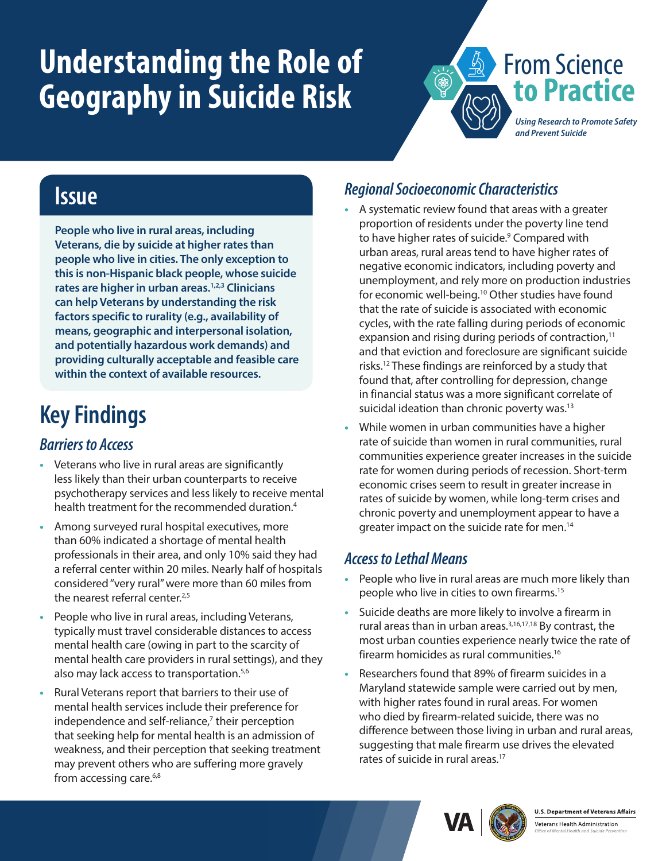# <span id="page-0-0"></span>**Understanding the Role of Geography in Suicide Risk**



### **Issue**

**People who live in rural areas, including Veterans, die by suicide at higher rates than people who live in cities. The only exception to this is non-Hispanic black people, whose suicide rates are higher in urban areas[.1,2,3](#page-1-0) Clinicians can help Veterans by understanding the risk factors specific to rurality (e.g., availability of means, geographic and interpersonal isolation, and potentially hazardous work demands) and providing culturally acceptable and feasible care within the context of available resources.**

### **Key Findings**

#### *Barriers to Access*

- **•** Veterans who live in rural areas are significantly less likely than their urban counterparts to receive psychotherapy services and less likely to receive mental health treatment for the recommended duration.<sup>[4](#page-1-0)</sup>
- **•** Among surveyed rural hospital executives, more than 60% indicated a shortage of mental health professionals in their area, and only 10% said they had a referral center within 20 miles. Nearly half of hospitals considered "very rural" were more than 60 miles from the nearest referral center.<sup>2[,5](#page-1-0)</sup>
- **•** People who live in rural areas, including Veterans, typically must travel considerable distances to access mental health care (owing in part to the scarcity of mental health care providers in rural settings), and they also may lack access to transportation.<sup>5[,6](#page-1-0)</sup>
- **•** Rural Veterans report that barriers to their use of mental health services include their preference for independence and self-reliance,<sup>[7](#page-1-0)</sup> their perception that seeking help for mental health is an admission of weakness, and their perception that seeking treatment may prevent others who are suffering more gravely from accessing care.<sup>6[,8](#page-1-0)</sup>

#### *Regional Socioeconomic Characteristics*

- **•** A systematic review found that areas with a greater proportion of residents under the poverty line tend to have higher rates of suicide.<sup>9</sup> Compared with urban areas, rural areas tend to have higher rates of negative economic indicators, including poverty and unemployment, and rely more on production industries for economic well-being[.10](#page-1-0) Other studies have found that the rate of suicide is associated with economic cycles, with the rate falling during periods of economic expansion and rising during periods of contraction, $11$ and that eviction and foreclosure are significant suicide risks[.12](#page-1-0) These findings are reinforced by a study that found that, after controlling for depression, change in financial status was a more significant correlate of suicidal ideation than chronic poverty was.<sup>13</sup>
- **•** While women in urban communities have a higher rate of suicide than women in rural communities, rural communities experience greater increases in the suicide rate for women during periods of recession. Short-term economic crises seem to result in greater increase in rates of suicide by women, while long-term crises and chronic poverty and unemployment appear to have a greater impact on the suicide rate for men.[14](#page-1-0)

#### *Access to Lethal Means*

- **•** People who live in rural areas are much more likely than people who live in cities to own firearms[.15](#page-1-0)
- **•** Suicide deaths are more likely to involve a firearm in rural areas than in urban areas.<sup>3,16,17,18</sup> By contrast, the most urban counties experience nearly twice the rate of firearm homicides as rural communities[.16](#page-1-5)
- **•** Researchers found that 89% of firearm suicides in a Maryland statewide sample were carried out by men, with higher rates found in rural areas. For women who died by firearm-related suicide, there was no difference between those living in urban and rural areas, suggesting that male firearm use drives the elevated rates of suicide in rural areas.<sup>[17](#page-1-6)</sup>





Veterans Health Administration